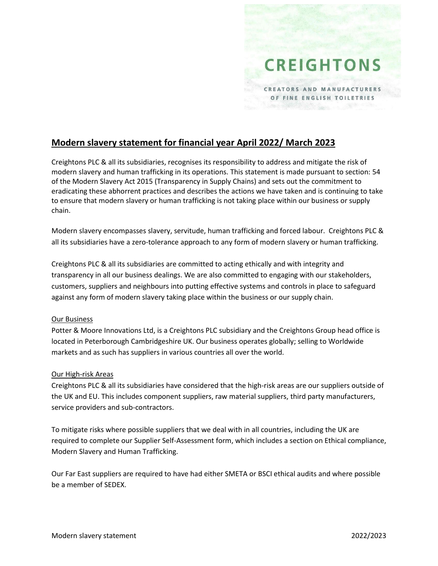# **CREIGHTONS** CREATORS AND MANUFACTURERS OF FINE ENGLISH TOILETRIES

## **Modern slavery statement for financial year April 2022/ March 2023**

Creightons PLC & all its subsidiaries, recognises its responsibility to address and mitigate the risk of modern slavery and human trafficking in its operations. This statement is made pursuant to section: 54 of the Modern Slavery Act 2015 (Transparency in Supply Chains) and sets out the commitment to eradicating these abhorrent practices and describes the actions we have taken and is continuing to take to ensure that modern slavery or human trafficking is not taking place within our business or supply chain.

Modern slavery encompasses slavery, servitude, human trafficking and forced labour. Creightons PLC & all its subsidiaries have a zero-tolerance approach to any form of modern slavery or human trafficking.

Creightons PLC & all its subsidiaries are committed to acting ethically and with integrity and transparency in all our business dealings. We are also committed to engaging with our stakeholders, customers, suppliers and neighbours into putting effective systems and controls in place to safeguard against any form of modern slavery taking place within the business or our supply chain.

#### Our Business

Potter & Moore Innovations Ltd, is a Creightons PLC subsidiary and the Creightons Group head office is located in Peterborough Cambridgeshire UK. Our business operates globally; selling to Worldwide markets and as such has suppliers in various countries all over the world.

#### Our High-risk Areas

Creightons PLC & all its subsidiaries have considered that the high-risk areas are our suppliers outside of the UK and EU. This includes component suppliers, raw material suppliers, third party manufacturers, service providers and sub-contractors.

To mitigate risks where possible suppliers that we deal with in all countries, including the UK are required to complete our Supplier Self-Assessment form, which includes a section on Ethical compliance, Modern Slavery and Human Trafficking.

Our Far East suppliers are required to have had either SMETA or BSCI ethical audits and where possible be a member of SEDEX.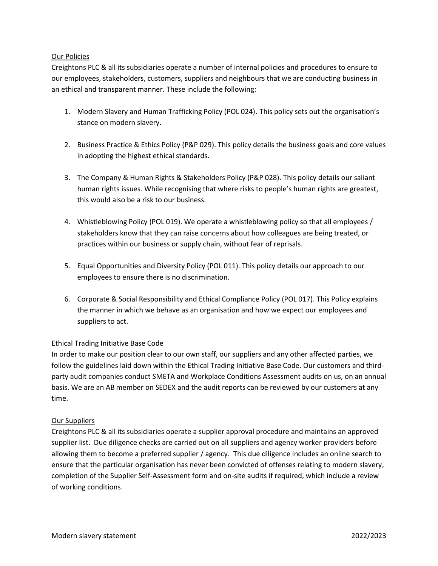#### Our Policies

Creightons PLC & all its subsidiaries operate a number of internal policies and procedures to ensure to our employees, stakeholders, customers, suppliers and neighbours that we are conducting business in an ethical and transparent manner. These include the following:

- 1. Modern Slavery and Human Trafficking Policy (POL 024). This policy sets out the organisation's stance on modern slavery.
- 2. Business Practice & Ethics Policy (P&P 029). This policy details the business goals and core values in adopting the highest ethical standards.
- 3. The Company & Human Rights & Stakeholders Policy (P&P 028). This policy details our saliant human rights issues. While recognising that where risks to people's human rights are greatest, this would also be a risk to our business.
- 4. Whistleblowing Policy (POL 019). We operate a whistleblowing policy so that all employees / stakeholders know that they can raise concerns about how colleagues are being treated, or practices within our business or supply chain, without fear of reprisals.
- 5. Equal Opportunities and Diversity Policy (POL 011). This policy details our approach to our employees to ensure there is no discrimination.
- 6. Corporate & Social Responsibility and Ethical Compliance Policy (POL 017). This Policy explains the manner in which we behave as an organisation and how we expect our employees and suppliers to act.

#### Ethical Trading Initiative Base Code

In order to make our position clear to our own staff, our suppliers and any other affected parties, we follow the guidelines laid down within the Ethical Trading Initiative Base Code. Our customers and thirdparty audit companies conduct SMETA and Workplace Conditions Assessment audits on us, on an annual basis. We are an AB member on SEDEX and the audit reports can be reviewed by our customers at any time.

### Our Suppliers

Creightons PLC & all its subsidiaries operate a supplier approval procedure and maintains an approved supplier list. Due diligence checks are carried out on all suppliers and agency worker providers before allowing them to become a preferred supplier / agency. This due diligence includes an online search to ensure that the particular organisation has never been convicted of offenses relating to modern slavery, completion of the Supplier Self-Assessment form and on-site audits if required, which include a review of working conditions.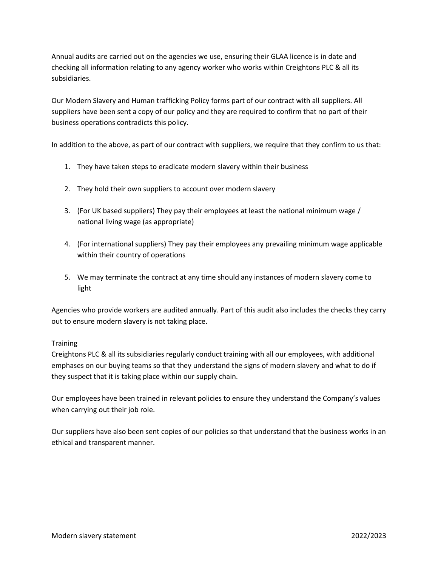Annual audits are carried out on the agencies we use, ensuring their GLAA licence is in date and checking all information relating to any agency worker who works within Creightons PLC & all its subsidiaries.

Our Modern Slavery and Human trafficking Policy forms part of our contract with all suppliers. All suppliers have been sent a copy of our policy and they are required to confirm that no part of their business operations contradicts this policy.

In addition to the above, as part of our contract with suppliers, we require that they confirm to us that:

- 1. They have taken steps to eradicate modern slavery within their business
- 2. They hold their own suppliers to account over modern slavery
- 3. (For UK based suppliers) They pay their employees at least the national minimum wage / national living wage (as appropriate)
- 4. (For international suppliers) They pay their employees any prevailing minimum wage applicable within their country of operations
- 5. We may terminate the contract at any time should any instances of modern slavery come to light

Agencies who provide workers are audited annually. Part of this audit also includes the checks they carry out to ensure modern slavery is not taking place.

#### **Training**

Creightons PLC & all its subsidiaries regularly conduct training with all our employees, with additional emphases on our buying teams so that they understand the signs of modern slavery and what to do if they suspect that it is taking place within our supply chain.

Our employees have been trained in relevant policies to ensure they understand the Company's values when carrying out their job role.

Our suppliers have also been sent copies of our policies so that understand that the business works in an ethical and transparent manner.